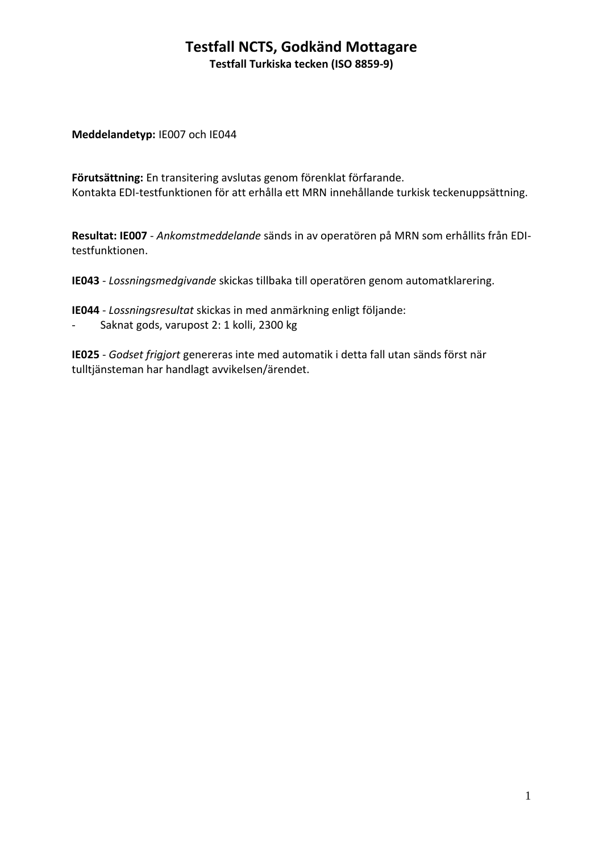#### **Testfall NCTS, Godkänd Mottagare Testfall Turkiska tecken (ISO 8859-9)**

**Meddelandetyp:** IE007 och IE044

**Förutsättning:** En transitering avslutas genom förenklat förfarande. Kontakta EDI-testfunktionen för att erhålla ett MRN innehållande turkisk teckenuppsättning.

**Resultat: IE007** - *Ankomstmeddelande* sänds in av operatören på MRN som erhållits från EDItestfunktionen.

**IE043** - *Lossningsmedgivande* skickas tillbaka till operatören genom automatklarering.

**IE044** - *Lossningsresultat* skickas in med anmärkning enligt följande:

- Saknat gods, varupost 2: 1 kolli, 2300 kg

**IE025** - *Godset frigjort* genereras inte med automatik i detta fall utan sänds först när tulltjänsteman har handlagt avvikelsen/ärendet.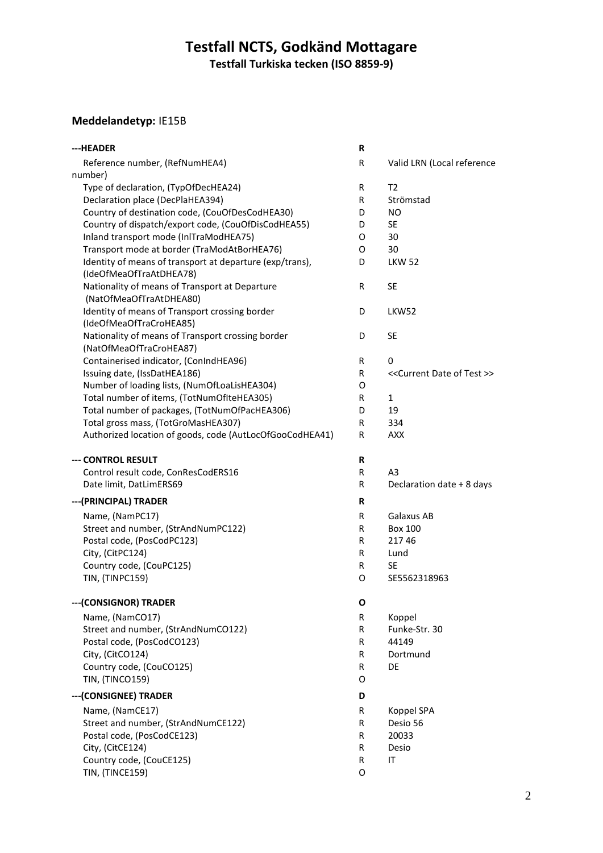# **Testfall NCTS, Godkänd Mottagare**

**Testfall Turkiska tecken (ISO 8859-9)**

### **Meddelandetyp:** IE15B

| ---HEADER                                                | R |                                                 |
|----------------------------------------------------------|---|-------------------------------------------------|
| Reference number, (RefNumHEA4)                           | R | Valid LRN (Local reference                      |
| number)                                                  |   |                                                 |
| Type of declaration, (TypOfDecHEA24)                     | R | T <sub>2</sub>                                  |
| Declaration place (DecPlaHEA394)                         | R | Strömstad                                       |
| Country of destination code, (CouOfDesCodHEA30)          | D | NO.                                             |
| Country of dispatch/export code, (CouOfDisCodHEA55)      | D | <b>SE</b>                                       |
| Inland transport mode (InlTraModHEA75)                   | 0 | 30                                              |
| Transport mode at border (TraModAtBorHEA76)              | 0 | 30                                              |
| Identity of means of transport at departure (exp/trans), | D | <b>LKW 52</b>                                   |
| (IdeOfMeaOfTraAtDHEA78)                                  |   |                                                 |
| Nationality of means of Transport at Departure           | R | <b>SE</b>                                       |
| (NatOfMeaOfTraAtDHEA80)                                  |   |                                                 |
| Identity of means of Transport crossing border           | D | LKW52                                           |
| (IdeOfMeaOfTraCroHEA85)                                  |   |                                                 |
| Nationality of means of Transport crossing border        | D | <b>SE</b>                                       |
| (NatOfMeaOfTraCroHEA87)                                  |   |                                                 |
| Containerised indicator, (ConIndHEA96)                   | R | 0                                               |
| Issuing date, (IssDatHEA186)                             | R | < <current date="" of="" test="">&gt;</current> |
| Number of loading lists, (NumOfLoaLisHEA304)             | O |                                                 |
| Total number of items, (TotNumOfIteHEA305)               | R | 1                                               |
| Total number of packages, (TotNumOfPacHEA306)            | D | 19                                              |
| Total gross mass, (TotGroMasHEA307)                      | R | 334                                             |
| Authorized location of goods, code (AutLocOfGooCodHEA41) | R | <b>AXX</b>                                      |
| --- CONTROL RESULT                                       | R |                                                 |
| Control result code, ConResCodERS16                      | R | A <sub>3</sub>                                  |
| Date limit, DatLimERS69                                  | R | Declaration date + 8 days                       |
|                                                          |   |                                                 |
| --- (PRINCIPAL) TRADER                                   | R |                                                 |
| Name, (NamPC17)                                          | R | Galaxus AB                                      |
| Street and number, (StrAndNumPC122)                      | R | <b>Box 100</b>                                  |
| Postal code, (PosCodPC123)                               | R | 21746                                           |
| City, (CitPC124)                                         | R | Lund                                            |
| Country code, (CouPC125)                                 | R | <b>SE</b>                                       |
| TIN, (TINPC159)                                          | O | SE5562318963                                    |
|                                                          |   |                                                 |
| --- (CONSIGNOR) TRADER                                   | O |                                                 |
| Name, (NamCO17)                                          | R | Koppel                                          |
| Street and number, (StrAndNumCO122)                      | R | Funke-Str. 30                                   |
| Postal code, (PosCodCO123)                               | R | 44149                                           |
| City, (CitCO124)                                         | R | Dortmund                                        |
| Country code, (CouCO125)                                 | R | DE                                              |
| TIN, (TINCO159)                                          | O |                                                 |
| --- (CONSIGNEE) TRADER                                   | D |                                                 |
| Name, (NamCE17)                                          | R | Koppel SPA                                      |
| Street and number, (StrAndNumCE122)                      | R | Desio 56                                        |
| Postal code, (PosCodCE123)                               | R | 20033                                           |
| City, (CitCE124)                                         | R | Desio                                           |
| Country code, (CouCE125)                                 | R | ΙT                                              |
| TIN, (TINCE159)                                          | O |                                                 |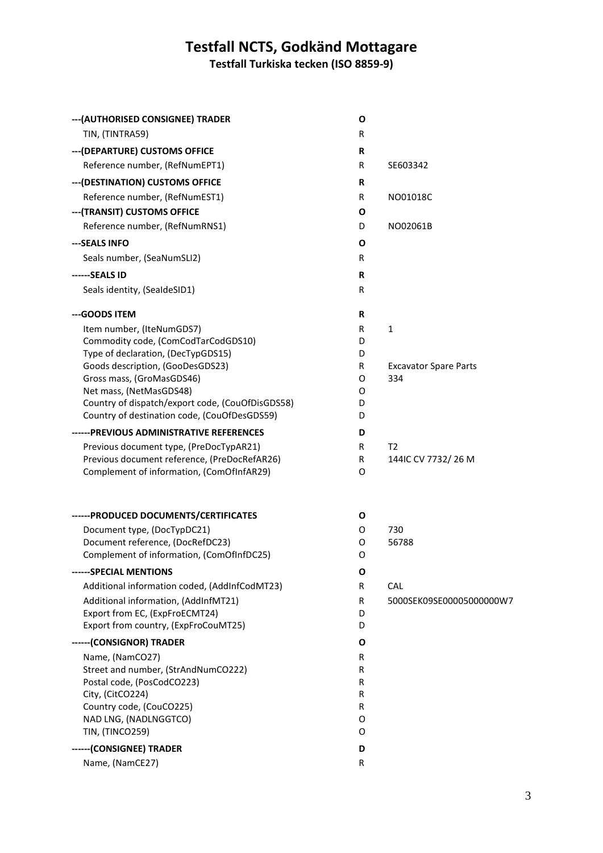#### **Testfall NCTS, Godkänd Mottagare**

**Testfall Turkiska tecken (ISO 8859-9)**

| --- (AUTHORISED CONSIGNEE) TRADER                                      | O      |                              |
|------------------------------------------------------------------------|--------|------------------------------|
| TIN, (TINTRA59)                                                        | R      |                              |
| --- (DEPARTURE) CUSTOMS OFFICE                                         | R      |                              |
| Reference number, (RefNumEPT1)                                         | R      | SE603342                     |
| --- (DESTINATION) CUSTOMS OFFICE                                       | R      |                              |
| Reference number, (RefNumEST1)                                         | R      | NO01018C                     |
| --- (TRANSIT) CUSTOMS OFFICE                                           | Ο      |                              |
| Reference number, (RefNumRNS1)                                         | D      | NO02061B                     |
| ---SEALS INFO                                                          | 0      |                              |
| Seals number, (SeaNumSLI2)                                             | R      |                              |
| ------SEALS ID                                                         | R      |                              |
| Seals identity, (SealdeSID1)                                           | R      |                              |
| --- GOODS ITEM                                                         | R      |                              |
| Item number, (IteNumGDS7)                                              | R      | 1                            |
| Commodity code, (ComCodTarCodGDS10)                                    | D      |                              |
| Type of declaration, (DecTypGDS15)<br>Goods description, (GooDesGDS23) | D<br>R | <b>Excavator Spare Parts</b> |
| Gross mass, (GroMasGDS46)                                              | 0      | 334                          |
| Net mass, (NetMasGDS48)                                                | 0      |                              |
| Country of dispatch/export code, (CouOfDisGDS58)                       | D      |                              |
| Country of destination code, (CouOfDesGDS59)                           | D      |                              |
| ------PREVIOUS ADMINISTRATIVE REFERENCES                               | D      |                              |
| Previous document type, (PreDocTypAR21)                                | R      | T2                           |
| Previous document reference, (PreDocRefAR26)                           | R      | 144IC CV 7732/26 M           |
| Complement of information, (ComOfInfAR29)                              | 0      |                              |
| ------ PRODUCED DOCUMENTS/CERTIFICATES                                 | O      |                              |
| Document type, (DocTypDC21)                                            | 0      | 730                          |
| Document reference, (DocRefDC23)                                       | 0      | 56788                        |
| Complement of information, (ComOfInfDC25)                              | 0      |                              |
| ------SPECIAL MENTIONS                                                 | O      |                              |
| Additional information coded, (AddInfCodMT23)                          | R      | <b>CAL</b>                   |
| Additional information, (AddInfMT21)                                   | R      | 5000SEK09SE00005000000W7     |
| Export from EC, (ExpFroECMT24)<br>Export from country, (ExpFroCouMT25) | D<br>D |                              |
|                                                                        |        |                              |
| ------(CONSIGNOR) TRADER                                               | 0      |                              |
| Name, (NamCO27)<br>Street and number, (StrAndNumCO222)                 | R<br>R |                              |
| Postal code, (PosCodCO223)                                             | R      |                              |
| City, (CitCO224)                                                       | R      |                              |
| Country code, (CouCO225)                                               | R      |                              |
| NAD LNG, (NADLNGGTCO)                                                  | O      |                              |
| TIN, (TINCO259)                                                        | O      |                              |
| ------ (CONSIGNEE) TRADER                                              | D      |                              |
| Name, (NamCE27)                                                        | R      |                              |
|                                                                        |        |                              |